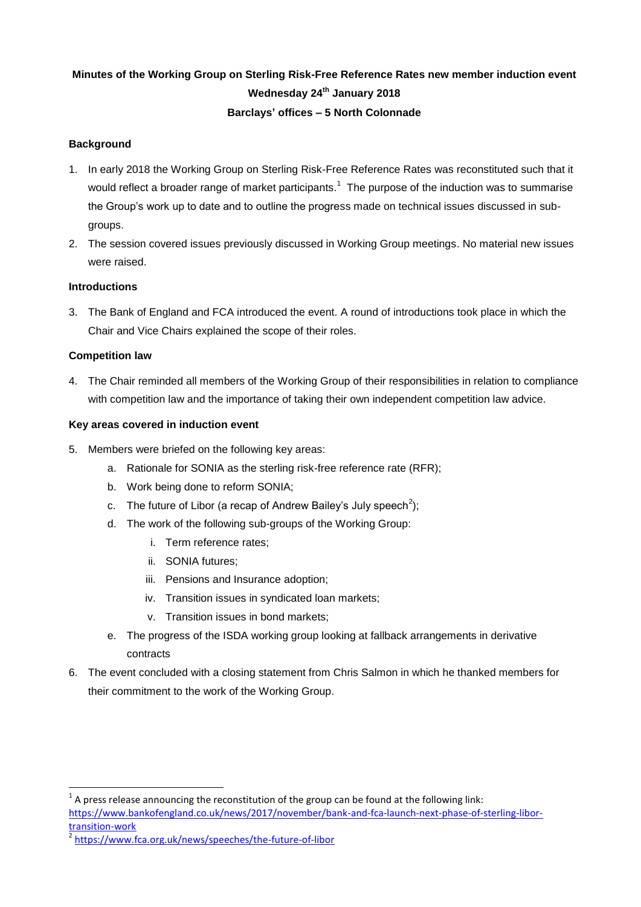# **Minutes of the Working Group on Sterling Risk-Free Reference Rates new member induction event Wednesday 24th January 2018 Barclays' offices – 5 North Colonnade**

## **Background**

- 1. In early 2018 the Working Group on Sterling Risk-Free Reference Rates was reconstituted such that it would reflect a broader range of market participants.<sup>1</sup> The purpose of the induction was to summarise the Group's work up to date and to outline the progress made on technical issues discussed in subgroups.
- 2. The session covered issues previously discussed in Working Group meetings. No material new issues were raised.

## **Introductions**

3. The Bank of England and FCA introduced the event. A round of introductions took place in which the Chair and Vice Chairs explained the scope of their roles.

## **Competition law**

 $\overline{a}$ 

4. The Chair reminded all members of the Working Group of their responsibilities in relation to compliance with competition law and the importance of taking their own independent competition law advice.

## **Key areas covered in induction event**

- 5. Members were briefed on the following key areas:
	- a. Rationale for SONIA as the sterling risk-free reference rate (RFR);
	- b. Work being done to reform SONIA;
	- c. The future of Libor (a recap of Andrew Bailey's July speech<sup>2</sup>);
	- d. The work of the following sub-groups of the Working Group:
		- i. Term reference rates;
		- ii. SONIA futures;
		- iii. Pensions and Insurance adoption;
		- iv. Transition issues in syndicated loan markets;
		- v. Transition issues in bond markets;
	- e. The progress of the ISDA working group looking at fallback arrangements in derivative contracts
- 6. The event concluded with a closing statement from Chris Salmon in which he thanked members for their commitment to the work of the Working Group.

 $1$  A press release announcing the reconstitution of the group can be found at the following link: [https://www.bankofengland.co.uk/news/2017/november/bank-and-fca-launch-next-phase-of-sterling-libor](https://www.bankofengland.co.uk/news/2017/november/bank-and-fca-launch-next-phase-of-sterling-libor-transition-work)[transition-work](https://www.bankofengland.co.uk/news/2017/november/bank-and-fca-launch-next-phase-of-sterling-libor-transition-work)

<sup>2</sup> <https://www.fca.org.uk/news/speeches/the-future-of-libor>